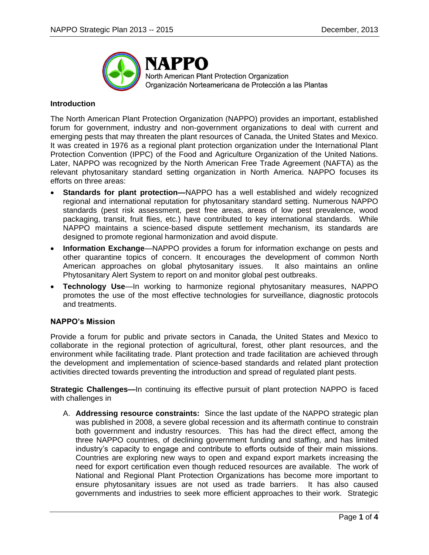

NAPPO North American Plant Protection Organization Organización Norteamericana de Protección a las Plantas

# **Introduction**

The North American Plant Protection Organization (NAPPO) provides an important, established forum for government, industry and non-government organizations to deal with current and emerging pests that may threaten the plant resources of Canada, the United States and Mexico. It was created in 1976 as a regional plant protection organization under the International Plant Protection Convention (IPPC) of the Food and Agriculture Organization of the United Nations. Later, NAPPO was recognized by the North American Free Trade Agreement (NAFTA) as the relevant phytosanitary standard setting organization in North America. NAPPO focuses its efforts on three areas:

- **Standards for plant protection—**NAPPO has a well established and widely recognized regional and international reputation for phytosanitary standard setting. Numerous NAPPO standards (pest risk assessment, pest free areas, areas of low pest prevalence, wood packaging, transit, fruit flies, etc.) have contributed to key international standards. While NAPPO maintains a science-based dispute settlement mechanism, its standards are designed to promote regional harmonization and avoid dispute.
- **Information Exchange**—NAPPO provides a forum for information exchange on pests and other quarantine topics of concern. It encourages the development of common North American approaches on global phytosanitary issues. It also maintains an online Phytosanitary Alert System to report on and monitor global pest outbreaks.
- **Technology Use**—In working to harmonize regional phytosanitary measures, NAPPO promotes the use of the most effective technologies for surveillance, diagnostic protocols and treatments.

## **NAPPO's Mission**

Provide a forum for public and private sectors in Canada, the United States and Mexico to collaborate in the regional protection of agricultural, forest, other plant resources, and the environment while facilitating trade. Plant protection and trade facilitation are achieved through the development and implementation of science-based standards and related plant protection activities directed towards preventing the introduction and spread of regulated plant pests.

**Strategic Challenges—In continuing its effective pursuit of plant protection NAPPO is faced** with challenges in

A. **Addressing resource constraints:** Since the last update of the NAPPO strategic plan was published in 2008, a severe global recession and its aftermath continue to constrain both government and industry resources. This has had the direct effect, among the three NAPPO countries, of declining government funding and staffing, and has limited industry's capacity to engage and contribute to efforts outside of their main missions. Countries are exploring new ways to open and expand export markets increasing the need for export certification even though reduced resources are available. The work of National and Regional Plant Protection Organizations has become more important to ensure phytosanitary issues are not used as trade barriers. It has also caused governments and industries to seek more efficient approaches to their work. Strategic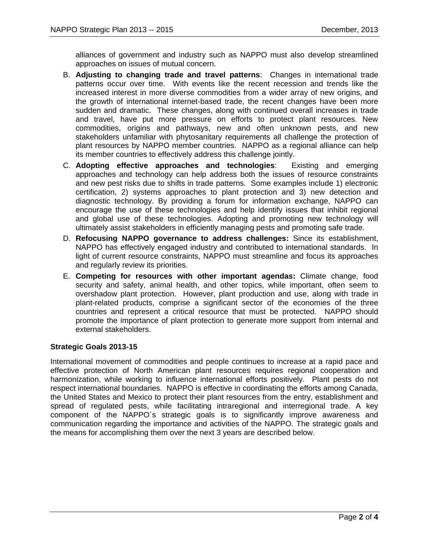alliances of government and industry such as NAPPO must also develop streamlined approaches on issues of mutual concern.

- B. **Adjusting to changing trade and travel patterns**: Changes in international trade patterns occur over time. With events like the recent recession and trends like the increased interest in more diverse commodities from a wider array of new origins, and the growth of international internet-based trade, the recent changes have been more sudden and dramatic. These changes, along with continued overall increases in trade and travel, have put more pressure on efforts to protect plant resources. New commodities, origins and pathways, new and often unknown pests, and new stakeholders unfamiliar with phytosanitary requirements all challenge the protection of plant resources by NAPPO member countries. NAPPO as a regional alliance can help its member countries to effectively address this challenge jointly.
- C. **Adopting effective approaches and technologies**: Existing and emerging approaches and technology can help address both the issues of resource constraints and new pest risks due to shifts in trade patterns. Some examples include 1) electronic certification, 2) systems approaches to plant protection and 3) new detection and diagnostic technology. By providing a forum for information exchange, NAPPO can encourage the use of these technologies and help identify issues that inhibit regional and global use of these technologies. Adopting and promoting new technology will ultimately assist stakeholders in efficiently managing pests and promoting safe trade.
- D. **Refocusing NAPPO governance to address challenges:** Since its establishment, NAPPO has effectively engaged industry and contributed to international standards. In light of current resource constraints, NAPPO must streamline and focus its approaches and regularly review its priorities.
- E. **Competing for resources with other important agendas:** Climate change, food security and safety, animal health, and other topics, while important, often seem to overshadow plant protection. However, plant production and use, along with trade in plant-related products, comprise a significant sector of the economies of the three countries and represent a critical resource that must be protected. NAPPO should promote the importance of plant protection to generate more support from internal and external stakeholders.

# **Strategic Goals 2013-15**

International movement of commodities and people continues to increase at a rapid pace and effective protection of North American plant resources requires regional cooperation and harmonization, while working to influence international efforts positively. Plant pests do not respect international boundaries. NAPPO is effective in coordinating the efforts among Canada, the United States and Mexico to protect their plant resources from the entry, establishment and spread of regulated pests, while facilitating intraregional and interregional trade. A key component of the NAPPO´s strategic goals is to significantly improve awareness and communication regarding the importance and activities of the NAPPO. The strategic goals and the means for accomplishing them over the next 3 years are described below.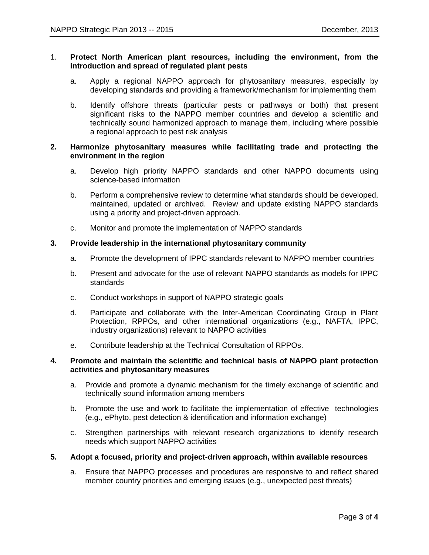## 1. **Protect North American plant resources, including the environment, from the introduction and spread of regulated plant pests**

- a. Apply a regional NAPPO approach for phytosanitary measures, especially by developing standards and providing a framework/mechanism for implementing them
- b. Identify offshore threats (particular pests or pathways or both) that present significant risks to the NAPPO member countries and develop a scientific and technically sound harmonized approach to manage them, including where possible a regional approach to pest risk analysis

# **2. Harmonize phytosanitary measures while facilitating trade and protecting the environment in the region**

- a. Develop high priority NAPPO standards and other NAPPO documents using science-based information
- b. Perform a comprehensive review to determine what standards should be developed, maintained, updated or archived. Review and update existing NAPPO standards using a priority and project-driven approach.
- c. Monitor and promote the implementation of NAPPO standards

### **3. Provide leadership in the international phytosanitary community**

- a. Promote the development of IPPC standards relevant to NAPPO member countries
- b. Present and advocate for the use of relevant NAPPO standards as models for IPPC standards
- c. Conduct workshops in support of NAPPO strategic goals
- d. Participate and collaborate with the Inter-American Coordinating Group in Plant Protection, RPPOs, and other international organizations (e.g., NAFTA, IPPC, industry organizations) relevant to NAPPO activities
- e. Contribute leadership at the Technical Consultation of RPPOs.

## **4. Promote and maintain the scientific and technical basis of NAPPO plant protection activities and phytosanitary measures**

- a. Provide and promote a dynamic mechanism for the timely exchange of scientific and technically sound information among members
- b. Promote the use and work to facilitate the implementation of effective technologies (e.g., ePhyto, pest detection & identification and information exchange)
- c. Strengthen partnerships with relevant research organizations to identify research needs which support NAPPO activities

## **5. Adopt a focused, priority and project-driven approach, within available resources**

a. Ensure that NAPPO processes and procedures are responsive to and reflect shared member country priorities and emerging issues (e.g., unexpected pest threats)